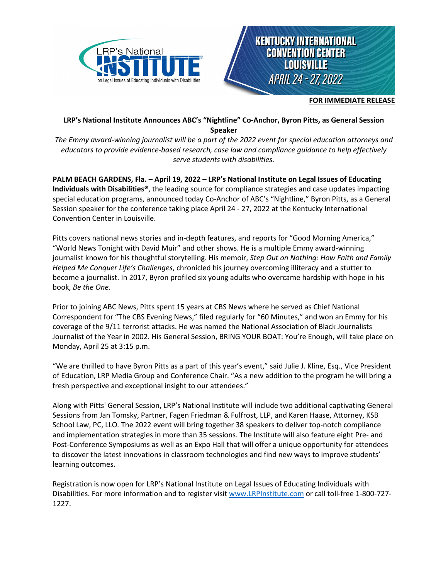



**FOR IMMEDIATE RELEASE**

## **LRP's National Institute Announces ABC's "Nightline" Co-Anchor, Byron Pitts, as General Session Speaker**

*The Emmy award-winning journalist will be a part of the 2022 event for special education attorneys and educators to provide evidence-based research, case law and compliance guidance to help effectively serve students with disabilities.*

**PALM BEACH GARDENS, Fla. – April 19, 2022 – LRP's National Institute on Legal Issues of Educating Individuals with Disabilities®**, the leading source for compliance strategies and case updates impacting special education programs, announced today Co-Anchor of ABC's "Nightline," Byron Pitts, as a General Session speaker for the conference taking place April 24 - 27, 2022 at the Kentucky International Convention Center in Louisville.

Pitts covers national news stories and in-depth features, and reports for "Good Morning America," "World News Tonight with David Muir" and other shows. He is a multiple Emmy award-winning journalist known for his thoughtful storytelling. His memoir, *Step Out on Nothing: How Faith and Family Helped Me Conquer Life's Challenges*, chronicled his journey overcoming illiteracy and a stutter to become a journalist. In 2017, Byron profiled six young adults who overcame hardship with hope in his book, *Be the One*.

Prior to joining ABC News, Pitts spent 15 years at CBS News where he served as Chief National Correspondent for "The CBS Evening News," filed regularly for "60 Minutes," and won an Emmy for his coverage of the 9/11 terrorist attacks. He was named the National Association of Black Journalists Journalist of the Year in 2002. His General Session, BRING YOUR BOAT: You're Enough, will take place on Monday, April 25 at 3:15 p.m.

"We are thrilled to have Byron Pitts as a part of this year's event," said Julie J. Kline, Esq., Vice President of Education, LRP Media Group and Conference Chair. "As a new addition to the program he will bring a fresh perspective and exceptional insight to our attendees."

Along with Pitts' General Session, LRP's National Institute will include two additional captivating General Sessions from Jan Tomsky, Partner, Fagen Friedman & Fulfrost, LLP, and Karen Haase, Attorney, KSB School Law, PC, LLO*.* The 2022 event will bring together 38 speakers to deliver top-notch compliance and implementation strategies in more than 35 sessions. The Institute will also feature eight Pre- and Post-Conference Symposiums as well as an Expo Hall that will offer a unique opportunity for attendees to discover the latest innovations in classroom technologies and find new ways to improve students' learning outcomes.

Registration is now open for LRP's National Institute on Legal Issues of Educating Individuals with Disabilities. For more information and to register visit [www.LRPInstitute.com](http://www.lrpinstitute.com/) or call toll-free 1-800-727- 1227.